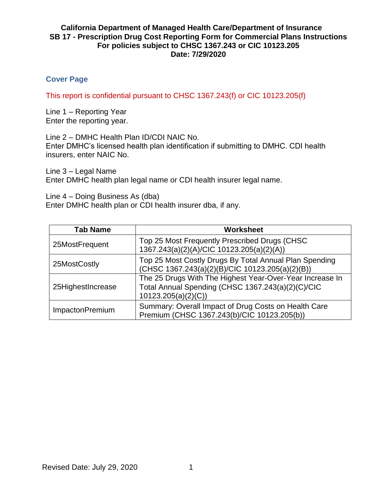## **Cover Page**

This report is confidential pursuant to CHSC 1367.243(f) or CIC 10123.205(f)

Line 1 – Reporting Year Enter the reporting year.

Line 2 – DMHC Health Plan ID/CDI NAIC No. Enter DMHC's licensed health plan identification if submitting to DMHC. CDI health insurers, enter NAIC No.

Line 3 – Legal Name Enter DMHC health plan legal name or CDI health insurer legal name.

Line 4 – Doing Business As (dba) Enter DMHC health plan or CDI health insurer dba, if any.

| <b>Tab Name</b>   | Worksheet                                                                                                                           |
|-------------------|-------------------------------------------------------------------------------------------------------------------------------------|
| 25MostFrequent    | Top 25 Most Frequently Prescribed Drugs (CHSC<br>1367.243(a)(2)(A)/CIC 10123.205(a)(2)(A))                                          |
| 25MostCostly      | Top 25 Most Costly Drugs By Total Annual Plan Spending<br>(CHSC 1367.243(a)(2)(B)/CIC 10123.205(a)(2)(B))                           |
| 25HighestIncrease | The 25 Drugs With The Highest Year-Over-Year Increase In<br>Total Annual Spending (CHSC 1367.243(a)(2)(C)/CIC<br>10123.205(a)(2)(C) |
| ImpactonPremium   | Summary: Overall Impact of Drug Costs on Health Care<br>Premium (CHSC 1367.243(b)/CIC 10123.205(b))                                 |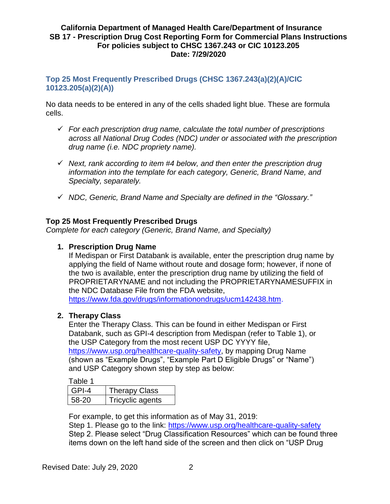# **Top 25 Most Frequently Prescribed Drugs (CHSC 1367.243(a)(2)(A)/CIC 10123.205(a)(2)(A))**

No data needs to be entered in any of the cells shaded light blue. These are formula cells.

- *For each prescription drug name, calculate the total number of prescriptions across all National Drug Codes (NDC) under or associated with the prescription drug name (i.e. NDC propriety name).*
- *Next, rank according to item #4 below, and then enter the prescription drug information into the template for each category, Generic, Brand Name, and Specialty, separately.*
- *NDC, Generic, Brand Name and Specialty are defined in the "Glossary."*

## **Top 25 Most Frequently Prescribed Drugs**

*Complete for each category (Generic, Brand Name, and Specialty)*

## **1. Prescription Drug Name**

If Medispan or First Databank is available, enter the prescription drug name by applying the field of Name without route and dosage form; however, if none of the two is available, enter the prescription drug name by utilizing the field of PROPRIETARYNAME and not including the PROPRIETARYNAMESUFFIX in the NDC Database File from the FDA website,

[https://www.fda.gov/drugs/informationondrugs/ucm142438.htm.](https://www.fda.gov/drugs/informationondrugs/ucm142438.htm)

#### **2. Therapy Class**

Enter the Therapy Class. This can be found in either Medispan or First Databank, such as GPI-4 description from Medispan (refer to Table 1), or the USP Category from the most recent USP DC YYYY file, [https://www.usp.org/healthcare-quality-safety,](https://www.usp.org/healthcare-quality-safety) by mapping Drug Name (shown as "Example Drugs", "Example Part D Eligible Drugs" or "Name") and USP Category shown step by step as below:

Table 1

| GPI-4 | <b>Therapy Class</b> |
|-------|----------------------|
| 58-20 | Tricyclic agents     |
|       |                      |

For example, to get this information as of May 31, 2019:

Step 1. Please go to the link:<https://www.usp.org/healthcare-quality-safety> Step 2. Please select "Drug Classification Resources" which can be found three items down on the left hand side of the screen and then click on "USP Drug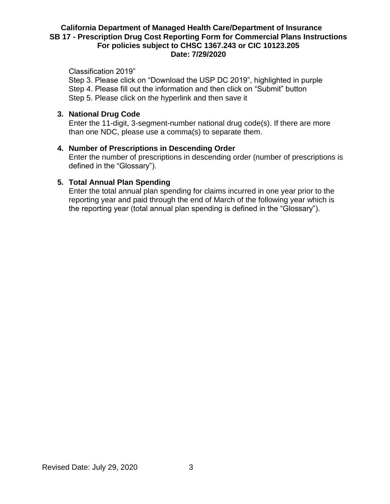Classification 2019"

Step 3. Please click on "Download the USP DC 2019", highlighted in purple Step 4. Please fill out the information and then click on "Submit" button Step 5. Please click on the hyperlink and then save it

## **3. National Drug Code**

Enter the 11-digit, 3-segment-number national drug code(s). If there are more than one NDC, please use a comma(s) to separate them.

#### **4. Number of Prescriptions in Descending Order**

Enter the number of prescriptions in descending order (number of prescriptions is defined in the "Glossary").

## **5. Total Annual Plan Spending**

Enter the total annual plan spending for claims incurred in one year prior to the reporting year and paid through the end of March of the following year which is the reporting year (total annual plan spending is defined in the "Glossary").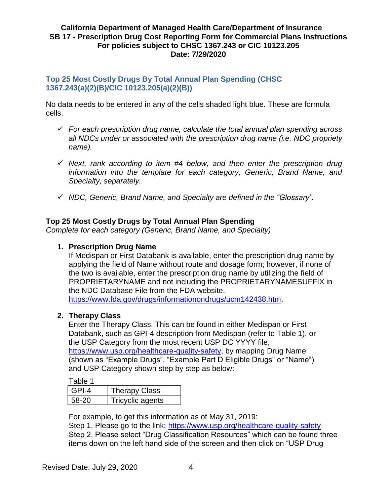## **Top 25 Most Costly Drugs By Total Annual Plan Spending (CHSC 1367.243(a)(2)(B)/CIC 10123.205(a)(2)(B))**

No data needs to be entered in any of the cells shaded light blue. These are formula cells.

- *For each prescription drug name, calculate the total annual plan spending across all NDCs under or associated with the prescription drug name (i.e. NDC propriety name).*
- *Next, rank according to item #4 below, and then enter the prescription drug information into the template for each category, Generic, Brand Name, and Specialty, separately.*
- *NDC, Generic, Brand Name, and Specialty are defined in the "Glossary".*

# **Top 25 Most Costly Drugs by Total Annual Plan Spending**

*Complete for each category (Generic, Brand Name, and Specialty)*

# **1. Prescription Drug Name**

If Medispan or First Databank is available, enter the prescription drug name by applying the field of Name without route and dosage form; however, if none of the two is available, enter the prescription drug name by utilizing the field of PROPRIETARYNAME and not including the PROPRIETARYNAMESUFFIX in the NDC Database File from the FDA website,

[https://www.fda.gov/drugs/informationondrugs/ucm142438.htm.](https://www.fda.gov/drugs/informationondrugs/ucm142438.htm)

# **2. Therapy Class**

Enter the Therapy Class. This can be found in either Medispan or First Databank, such as GPI-4 description from Medispan (refer to Table 1), or the USP Category from the most recent USP DC YYYY file, [https://www.usp.org/healthcare-quality-safety,](https://www.usp.org/healthcare-quality-safety) by mapping Drug Name (shown as "Example Drugs", "Example Part D Eligible Drugs" or "Name") and USP Category shown step by step as below:

Table 1

| GPI-4 | <b>Therapy Class</b> |
|-------|----------------------|
| 58-20 | Tricyclic agents     |

For example, to get this information as of May 31, 2019:

Step 1. Please go to the link:<https://www.usp.org/healthcare-quality-safety> Step 2. Please select "Drug Classification Resources" which can be found three items down on the left hand side of the screen and then click on "USP Drug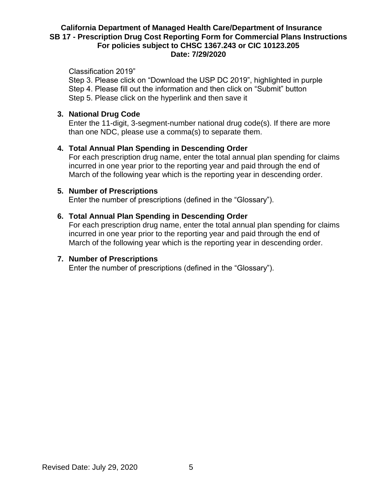Classification 2019"

Step 3. Please click on "Download the USP DC 2019", highlighted in purple Step 4. Please fill out the information and then click on "Submit" button Step 5. Please click on the hyperlink and then save it

## **3. National Drug Code**

Enter the 11-digit, 3-segment-number national drug code(s). If there are more than one NDC, please use a comma(s) to separate them.

## **4. Total Annual Plan Spending in Descending Order**

For each prescription drug name, enter the total annual plan spending for claims incurred in one year prior to the reporting year and paid through the end of March of the following year which is the reporting year in descending order.

#### **5. Number of Prescriptions**

Enter the number of prescriptions (defined in the "Glossary").

#### **6. Total Annual Plan Spending in Descending Order**

For each prescription drug name, enter the total annual plan spending for claims incurred in one year prior to the reporting year and paid through the end of March of the following year which is the reporting year in descending order.

#### **7. Number of Prescriptions**

Enter the number of prescriptions (defined in the "Glossary").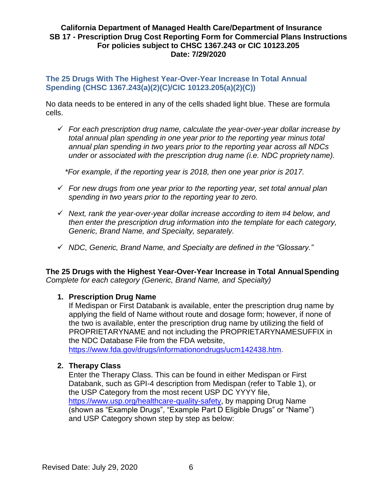## **The 25 Drugs With The Highest Year-Over-Year Increase In Total Annual Spending (CHSC 1367.243(a)(2)(C)/CIC 10123.205(a)(2)(C))**

No data needs to be entered in any of the cells shaded light blue. These are formula cells.

 *For each prescription drug name, calculate the year-over-year dollar increase by total annual plan spending in one year prior to the reporting year minus total annual plan spending in two years prior to the reporting year across all NDCs under or associated with the prescription drug name (i.e. NDC propriety name).*

*\*For example, if the reporting year is 2018, then one year prior is 2017.*

- *For new drugs from one year prior to the reporting year, set total annual plan spending in two years prior to the reporting year to zero.*
- *Next, rank the year-over-year dollar increase according to item #4 below, and then enter the prescription drug information into the template for each category, Generic, Brand Name, and Specialty, separately.*
- *NDC, Generic, Brand Name, and Specialty are defined in the "Glossary."*

**The 25 Drugs with the Highest Year-Over-Year Increase in Total AnnualSpending** *Complete for each category (Generic, Brand Name, and Specialty)*

#### **1. Prescription Drug Name**

If Medispan or First Databank is available, enter the prescription drug name by applying the field of Name without route and dosage form; however, if none of the two is available, enter the prescription drug name by utilizing the field of PROPRIETARYNAME and not including the PROPRIETARYNAMESUFFIX in the NDC Database File from the FDA website,

[https://www.fda.gov/drugs/informationondrugs/ucm142438.htm.](https://www.fda.gov/drugs/informationondrugs/ucm142438.htm)

#### **2. Therapy Class**

Enter the Therapy Class. This can be found in either Medispan or First Databank, such as GPI-4 description from Medispan (refer to Table 1), or the USP Category from the most recent USP DC YYYY file, [https://www.usp.org/healthcare-quality-safety,](https://www.usp.org/healthcare-quality-safety) by mapping Drug Name (shown as "Example Drugs", "Example Part D Eligible Drugs" or "Name") and USP Category shown step by step as below: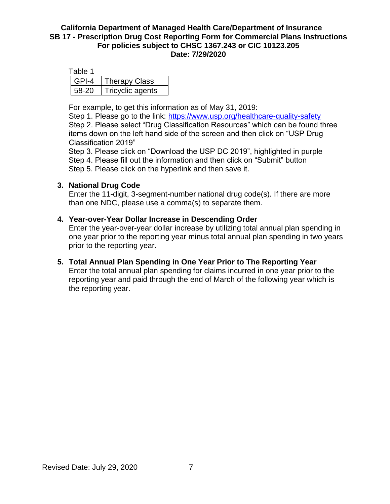| Table 1 |                  |
|---------|------------------|
| GPI-4   | Therapy Class    |
| 58-20   | Tricyclic agents |

For example, to get this information as of May 31, 2019:

Step 1. Please go to the link:<https://www.usp.org/healthcare-quality-safety> Step 2. Please select "Drug Classification Resources" which can be found three items down on the left hand side of the screen and then click on "USP Drug Classification 2019"

Step 3. Please click on "Download the USP DC 2019", highlighted in purple Step 4. Please fill out the information and then click on "Submit" button Step 5. Please click on the hyperlink and then save it.

## **3. National Drug Code**

Enter the 11-digit, 3-segment-number national drug code(s). If there are more than one NDC, please use a comma(s) to separate them.

#### **4. Year-over-Year Dollar Increase in Descending Order**

Enter the year-over-year dollar increase by utilizing total annual plan spending in one year prior to the reporting year minus total annual plan spending in two years prior to the reporting year.

# **5. Total Annual Plan Spending in One Year Prior to The Reporting Year**

Enter the total annual plan spending for claims incurred in one year prior to the reporting year and paid through the end of March of the following year which is the reporting year.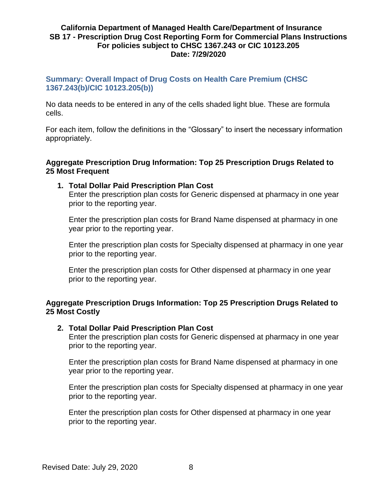## **Summary: Overall Impact of Drug Costs on Health Care Premium (CHSC 1367.243(b)/CIC 10123.205(b))**

No data needs to be entered in any of the cells shaded light blue. These are formula cells.

For each item, follow the definitions in the "Glossary" to insert the necessary information appropriately.

#### **Aggregate Prescription Drug Information: Top 25 Prescription Drugs Related to 25 Most Frequent**

#### **1. Total Dollar Paid Prescription Plan Cost**

Enter the prescription plan costs for Generic dispensed at pharmacy in one year prior to the reporting year.

Enter the prescription plan costs for Brand Name dispensed at pharmacy in one year prior to the reporting year.

Enter the prescription plan costs for Specialty dispensed at pharmacy in one year prior to the reporting year.

Enter the prescription plan costs for Other dispensed at pharmacy in one year prior to the reporting year.

#### **Aggregate Prescription Drugs Information: Top 25 Prescription Drugs Related to 25 Most Costly**

#### **2. Total Dollar Paid Prescription Plan Cost**

Enter the prescription plan costs for Generic dispensed at pharmacy in one year prior to the reporting year.

Enter the prescription plan costs for Brand Name dispensed at pharmacy in one year prior to the reporting year.

Enter the prescription plan costs for Specialty dispensed at pharmacy in one year prior to the reporting year.

Enter the prescription plan costs for Other dispensed at pharmacy in one year prior to the reporting year.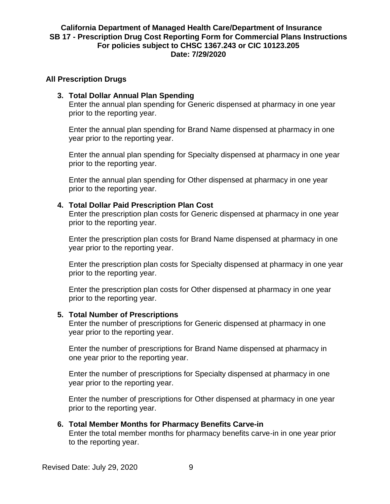#### **All Prescription Drugs**

#### **3. Total Dollar Annual Plan Spending**

Enter the annual plan spending for Generic dispensed at pharmacy in one year prior to the reporting year.

Enter the annual plan spending for Brand Name dispensed at pharmacy in one year prior to the reporting year.

Enter the annual plan spending for Specialty dispensed at pharmacy in one year prior to the reporting year.

Enter the annual plan spending for Other dispensed at pharmacy in one year prior to the reporting year.

#### **4. Total Dollar Paid Prescription Plan Cost**

Enter the prescription plan costs for Generic dispensed at pharmacy in one year prior to the reporting year.

Enter the prescription plan costs for Brand Name dispensed at pharmacy in one year prior to the reporting year.

Enter the prescription plan costs for Specialty dispensed at pharmacy in one year prior to the reporting year.

Enter the prescription plan costs for Other dispensed at pharmacy in one year prior to the reporting year.

#### **5. Total Number of Prescriptions**

Enter the number of prescriptions for Generic dispensed at pharmacy in one year prior to the reporting year.

Enter the number of prescriptions for Brand Name dispensed at pharmacy in one year prior to the reporting year.

Enter the number of prescriptions for Specialty dispensed at pharmacy in one year prior to the reporting year.

Enter the number of prescriptions for Other dispensed at pharmacy in one year prior to the reporting year.

#### **6. Total Member Months for Pharmacy Benefits Carve-in**

Enter the total member months for pharmacy benefits carve-in in one year prior to the reporting year.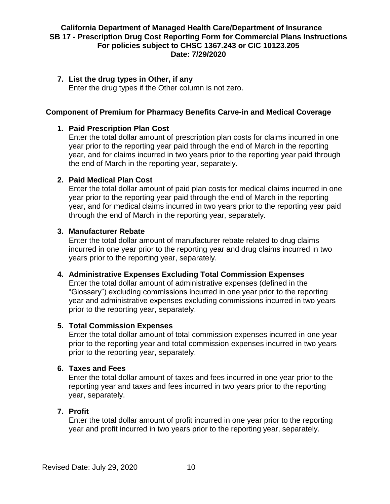## **7. List the drug types in Other, if any**

Enter the drug types if the Other column is not zero.

## **Component of Premium for Pharmacy Benefits Carve-in and Medical Coverage**

## **1. Paid Prescription Plan Cost**

Enter the total dollar amount of prescription plan costs for claims incurred in one year prior to the reporting year paid through the end of March in the reporting year, and for claims incurred in two years prior to the reporting year paid through the end of March in the reporting year, separately.

#### **2. Paid Medical Plan Cost**

Enter the total dollar amount of paid plan costs for medical claims incurred in one year prior to the reporting year paid through the end of March in the reporting year, and for medical claims incurred in two years prior to the reporting year paid through the end of March in the reporting year, separately.

#### **3. Manufacturer Rebate**

Enter the total dollar amount of manufacturer rebate related to drug claims incurred in one year prior to the reporting year and drug claims incurred in two years prior to the reporting year, separately.

#### **4. Administrative Expenses Excluding Total Commission Expenses**

Enter the total dollar amount of administrative expenses (defined in the "Glossary") excluding commissions incurred in one year prior to the reporting year and administrative expenses excluding commissions incurred in two years prior to the reporting year, separately.

#### **5. Total Commission Expenses**

Enter the total dollar amount of total commission expenses incurred in one year prior to the reporting year and total commission expenses incurred in two years prior to the reporting year, separately.

## **6. Taxes and Fees**

Enter the total dollar amount of taxes and fees incurred in one year prior to the reporting year and taxes and fees incurred in two years prior to the reporting year, separately.

# **7. Profit**

Enter the total dollar amount of profit incurred in one year prior to the reporting year and profit incurred in two years prior to the reporting year, separately.